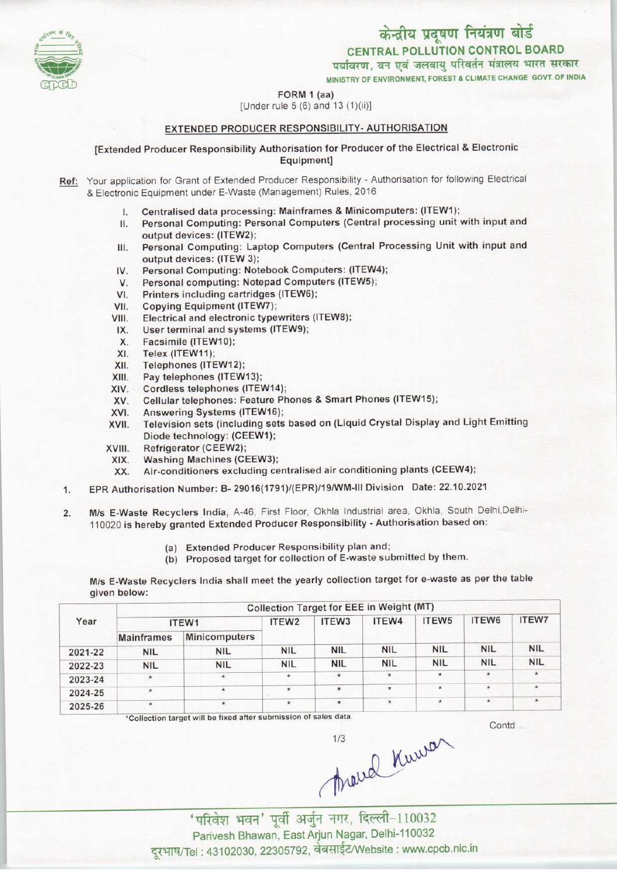केन्द्रीय प्रदूषण नियंत्रण बोर्ड CENTRAL POLLUTION CONTROL BOARD<br>पर्यावरण, वन एवं जलवायु परिवर्तन मंत्रालय भारत सरकार

MINISTRY OF ENVIRONMENT, FOREST & CLIMATE CHANGE GOVT. OF INDIA

#### FORM 1 (aa)

[Under rule 5 (6) and 13 (1)(ii)]

### EXTENDED PRODUCER RESPONSIBILITY- AUTHORISATION

[Extended Producer Responsibility Authorisation for Producer of the Electrical & Electronic Equipment]

- Ref: Your application for Grant of Extended Producer Responsibility Authorisation for following Electrical & Electronic Equipment under E-Waste (Management) Rules, 2016
	- I. Centralised data processing: Mainframes & Minicomputers: (ITEW1);
	- II. Personal Computing: Personal Computers (Central processing unit with input and output devices: (ITEW2);
	- III. Personal Computing: Laptop Computers (Central Processing Unit with input and output devices: (ITEW 3); III. Personal Computing: Laptop Computers (Central Protection<br>
	IV. Personal Computing: Notebook Computers: (ITEW4)<br>
	M. Personal computing: Notebook Computers: (ITEW4)
	- output devices: (ITEW 3);<br>V. Personal Computing: Notebook Computers: (ITEW<br>V. Personal computing: Notepad Computers (ITEW5);
	- IV. Personal Computing: Notebook Computers: (ITEW4<br>V. Personal computing: Notepad Computers (ITEW5);<br>VI. Printers including cartridges (ITEW6);<br>VII. Copving Equipment (ITEW7);
	-
	- VII. Copying Equipment (ITEW7);<br>VIII. Electrical and electronic type
	- VIII. Electrical and electronic typewriters (ITEW8);<br>IX. User terminal and systems (ITEW9); III. Copying Equipment (ITEW7);<br>III. Electrical and electronic typewriters<br>IX. User terminal and systems (ITEW9);
	- II. Electrical and electrical<br>X. Facsimile (ITEW10);<br>X. Telex (ITEW11);
	- X. Facsimile (ITEW10);<br>XI. Telex (ITEW11);<br>XII. Telephones (ITEW12
	-
	-
	- XII. Telephones (ITEW12);<br>XIII. Pay telephones (ITEW) XIII. Pay telephones (ITEW13);<br>XIV. Cordless telephones (ITEV
	-
	- XIV. Cordless telephones (ITEW14);<br>XV. Cellular telephones: Feature Ph XIV. Cordiess telephones (ITEW14);<br>XV. Cellular telephones: Feature Phones & Smart Phones (ITEW15);<br>XVI. Answering Systems (ITEW16);<br>XVII. Television sets (including sets based on (Liquid Crystal Display
	-
	- XVI. Answering Systems (ITEW16);<br>XVII. Television sets (including sets based on (Liquid Crystal Display and Light Emitting Diode technology: (CEEW1);
	- XVIII. Refrigerator (CEEW2);
	-
	- XIX. Washing Machines (CEEW3);<br>XX. Air-conditioners excluding ce Air-conditioners excluding centralised air conditioning plants (CEEW4);
- 1.EPR Authorisation Number: B- 29016(1791)/(EPR)/19/WM-lll Division Date: 22.10.2021
- 2. M/s E-Waste Recyclers India, A-46, First Floor, Okhla Industrial area, Okhla, South Delhi, Delhi-110020 is hereby granted Extended Producer Responsibility - Authorisation based on:
	- (a)Extended Producer Responsibility plan and;
	- (b) Proposed target for collection of E-waste submitted by them.

M/s E-Waste Recyclers India shall meet the yearly collection target for e-waste as perthe table given below:

| Year    | Collection Target for EEE in Weight (MT) |                      |                   |                   |            |            |            |              |  |
|---------|------------------------------------------|----------------------|-------------------|-------------------|------------|------------|------------|--------------|--|
|         | ITEW1                                    |                      | ITEW <sub>2</sub> | ITEW <sub>3</sub> | ITEW4      | ITEW5      | ITEW6      | <b>ITEW7</b> |  |
|         | <b>Mainframes</b>                        | <b>Minicomputers</b> |                   |                   |            |            |            |              |  |
| 2021-22 | <b>NIL</b>                               | <b>NIL</b>           | <b>NIL</b>        | <b>NIL</b>        | <b>NIL</b> | <b>NIL</b> | <b>NIL</b> | <b>NIL</b>   |  |
| 2022-23 | <b>NIL</b>                               | <b>NIL</b>           | <b>NIL</b>        | <b>NIL</b>        | <b>NIL</b> | <b>NIL</b> | <b>NIL</b> | <b>NIL</b>   |  |
| 2023-24 | $\star$                                  | $\star$              | $\star$           | $\star$           | $\star$    | $\star$    | $\star$    | $\star$      |  |
| 2024-25 | $\star$                                  | $\star$              | $\star$           | $\star$           | $\star$    | $\star$    | $\star$    | $*$          |  |
| 2025-26 | ×                                        | $\star$              | $\star$           | $\star$           | $\star$    | $\star$    |            | $\star$      |  |

\*Collection target will be fixed after submission of sales data.

Contd...

^r' ""^i ^^r to, Parivesh Bhawan, East Arjun Nagar, Delhi-110032<br>el: 43102030, 22305792, वेबसाईट/Website : www.cpcb.nic.in

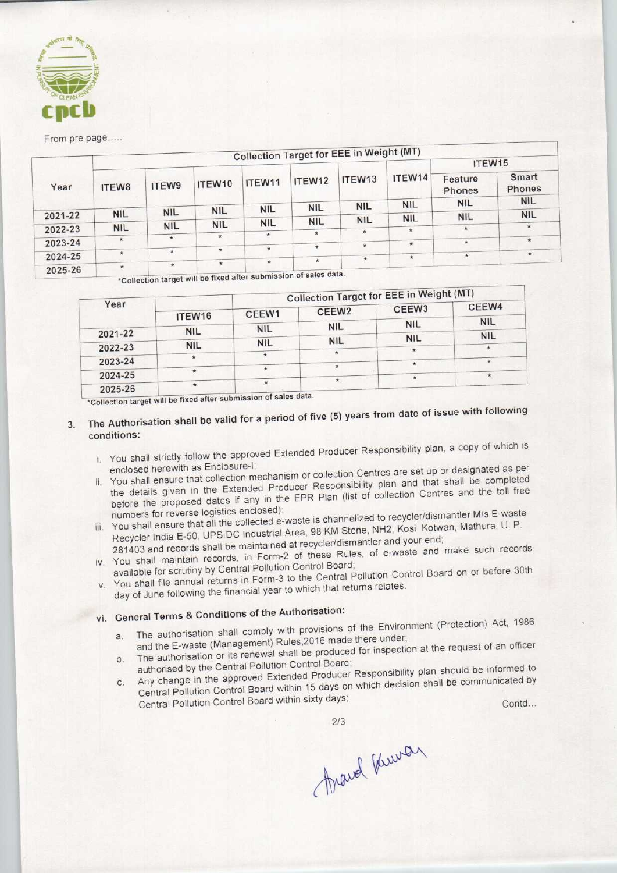

#### From pre page.....

|         |            |            |                                                                                                                                                                                                                                                                                                                                |            |            | <b>Collection Target for EEE in Weight (MT)</b> |                      |                                 |                 |         |
|---------|------------|------------|--------------------------------------------------------------------------------------------------------------------------------------------------------------------------------------------------------------------------------------------------------------------------------------------------------------------------------|------------|------------|-------------------------------------------------|----------------------|---------------------------------|-----------------|---------|
|         |            |            |                                                                                                                                                                                                                                                                                                                                |            |            |                                                 |                      | ITEW <sub>15</sub>              |                 |         |
| Year    | ITEW8      | ITEW9      | ITEW10                                                                                                                                                                                                                                                                                                                         | ITEW11     | ITEW12     | ITEW <sub>13</sub><br><b>NIL</b>                | ITEW14<br><b>NIL</b> | Feature<br>Phones<br><b>NIL</b> | Smart<br>Phones |         |
|         |            |            |                                                                                                                                                                                                                                                                                                                                |            |            |                                                 |                      |                                 | <b>NIL</b>      |         |
| 2021-22 | <b>NIL</b> | <b>NIL</b> | <b>NIL</b>                                                                                                                                                                                                                                                                                                                     | <b>NIL</b> | <b>NIL</b> |                                                 |                      | <b>NIL</b>                      | <b>NIL</b>      |         |
|         |            |            | <b>NIL</b>                                                                                                                                                                                                                                                                                                                     | <b>NIL</b> | <b>NIL</b> | <b>NIL</b>                                      | <b>NIL</b>           |                                 |                 |         |
| 2022-23 | <b>NIL</b> | <b>NIL</b> |                                                                                                                                                                                                                                                                                                                                |            | $\star$    |                                                 | $\star$              | $\star$                         | $\star$         |         |
| 2023-24 | $\star$    | $\star$    | $\star$                                                                                                                                                                                                                                                                                                                        | $\star$    |            |                                                 | $\star$              | $\star$                         | $\star$         |         |
|         |            |            | $\star$                                                                                                                                                                                                                                                                                                                        | $\star$    | $\star$    | $\star$                                         |                      |                                 |                 |         |
| 2024-25 |            | $\star$    | $\star$                                                                                                                                                                                                                                                                                                                        |            |            |                                                 | $\star$              | $\star$                         | $\star$         | $\star$ |
| 2025-26 | $\star$    | $\star$    | $\star$<br>$\frac{1}{2}$ $\frac{1}{2}$ $\frac{1}{2}$ $\frac{1}{2}$ $\frac{1}{2}$ $\frac{1}{2}$ $\frac{1}{2}$ $\frac{1}{2}$ $\frac{1}{2}$ $\frac{1}{2}$ $\frac{1}{2}$ $\frac{1}{2}$ $\frac{1}{2}$ $\frac{1}{2}$ $\frac{1}{2}$ $\frac{1}{2}$ $\frac{1}{2}$ $\frac{1}{2}$ $\frac{1}{2}$ $\frac{1}{2}$ $\frac{1}{2}$ $\frac{1}{2}$ | $\star$    | $\star$    |                                                 |                      |                                 |                 |         |

submission of sales dat be fixed aft <sup>&</sup>gt; n target wil

|         |            |                                        |            | <b>Collection Target for EEE in Weight (MT)</b> |            |
|---------|------------|----------------------------------------|------------|-------------------------------------------------|------------|
| Year    | ITEW16     | CEEW <sub>2</sub><br>CEEW <sub>1</sub> |            | CEEW <sub>3</sub>                               | CEEW4      |
|         |            | <b>NIL</b>                             | <b>NIL</b> | <b>NIL</b>                                      | <b>NIL</b> |
| 2021-22 | <b>NIL</b> |                                        | <b>NIL</b> | <b>NIL</b>                                      | <b>NIL</b> |
| 2022-23 | <b>NIL</b> | <b>NIL</b>                             | $\star$    |                                                 | $\star$    |
| 2023-24 | 水          |                                        |            | $\star$                                         | $\star$    |
| 2024-25 |            | $\frac{1}{2}$                          |            | $\star$                                         | $\star$    |
| 2025-26 | $\star$    |                                        |            |                                                 |            |

## The Authorisation shall be valid for a period of five (5) years from date of issue with following  $3.$ conditions:

- i. You shall strictly follow the approved Extended Producer Responsibility plan, a copy of which is enclosed herewith as Enclosure-I;
- if the collection collection centres are set up or designated as per You shall ensure that collection mechanism or collection Gentres are set up or doorganization. the details given in the Extended Producer Responsibility plan and that shall be completed<br>before the proposed dates if any in the EPR Plan (list of collection Centres and the toll free
- numbers for reverse logistics enclosed); numbers for reverse logistics enclosed);<br>numbers for reverse logistics enclosed);<br>numbers for reverse logistics enclosed); You shall ensure that all the collected e-waste is channelized to recycle the twan, Mathura, U. P. Recycler India E-50, UPSIDC Industrial Area, 98 KM Stone, NH2, Kosi Kotwan, Mathura, U. P.<br>281403 and records shall be maintained at recycler/dismantler and your end;
- 
- iv. You shall maintain records, in Form-2 of these Rules, of e-waste and make such records available for scrutiny by Central Pollution Control Board;
- available for scrutiny by Central Pollution Control Board;<br>- 3 to the Central Pollution Control Board on or before 30th day of June following the financial year to which that returns relates.
- vi. General Terms & Conditions of the Authorisation:
	- a. The authorisation shall comply with provisions of the Environment (Protection) Act, 1986
	- and the E-waste (Management) Rules,2016 made there under; b. The authorisation or its renewal shall be produced for inspection at the request of an officer
- authorised by the Central Pollution Control Board; E. The admonstration Central Pollution Control Board;<br>authorised by the Central Pollution Control Board; Any change in the approved Extended Producer Responsions, plant to communicated by tails given in the Extended Producer Responsibility planting the term opposed datas if any in the EPR Plan (list of collection C<br>the proposed dates if any in the EPR Plan (list of collection C<br>are for reverse logistics enc nt (Protection) Act, 1986<br>t the request of an officer<br>an should be informed to<br>shall be communicated by<br>Contd...

2/3<br>fravel knower